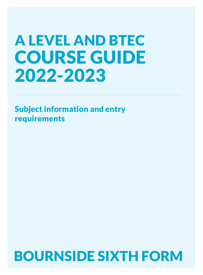# A LEVEL AND BTEC COURSE GUIDE 2022-2023

Subject information and entry requirements

# BOURNSIDE SIXTH FORM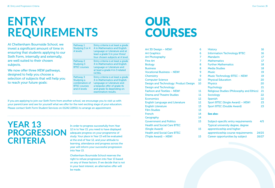# **ENTRY REQUIREMENTS**

At Cheltenham Bournside School, we invest a significant amount of time in ensuring that students applying to our Sixth Form, internally and externally, are well suited to their chosen subjects.

We now offer three NEW pathways, designed to help you choose a selection of subjects that will help you to reach your future goals:

| Pathway 1<br>Studying 3 or 4<br>A levels                                         | Entry criteria is at least a grade<br>4 in Mathematics and English<br>Language or Literature and at<br>least a grade 5 in your three/<br>four chosen subjects at A level.            |
|----------------------------------------------------------------------------------|--------------------------------------------------------------------------------------------------------------------------------------------------------------------------------------|
| Pathway 2<br>Studying 3<br><b>BTEC</b> courses                                   | Entry criteria is at least a grade<br>4 in Mathematics and English<br>Language or Literature and<br>at least a grade 4 in 3 related<br><b>GCSEs</b>                                  |
| Pathway 3<br>Studying a<br>combination of<br><b>BTEC</b> courses<br>and A levels | Entry criteria is at least a grade<br>4 in Mathematics and English<br>Language or Literature and<br>a bespoke offer of grade 4s<br>and grade 5s depending on<br>examination results. |

If you are applying to join our Sixth Form from another school, we encourage you to visit us with your parent/carer and see for yourself what we offer for the next exciting stage of your education. Please contact Sixth Form Student Services on 01242 229511 to arrange an appointment.

## **YEAR 13 PROGRESSION CRITERIA**

In order to progress successfully from Year 12 in to Year 13, you need to have displayed adequate progress on your programme of study. Your place in Year 13 will be evaluated at the end of Year 12, and your attitude to learning, attendance and progress across the year will inform your successful progression into Year 13.

Cheltenham Bournside School reserves the right to refuse progression into Year 13 based on any of these factors. If we decide that is not in your best interest, an alternative offer will be made.

# OUR COURSES

| Art 3D Design – NEW!                   | 6  | <b>History</b>                                   | 16    |
|----------------------------------------|----|--------------------------------------------------|-------|
| <b>Art Graphics</b>                    | 6  | <b>Information Technology BTEC</b>               | 16    |
| <b>Art Photography</b>                 | 7  | Mandarin                                         | 17    |
| <b>Fine Art</b>                        | 7  | <b>Mathematics</b>                               | 17    |
| <b>Biology</b>                         | 8  | <b>Further Mathematics</b>                       | 18    |
| <b>Business</b>                        | 8  | <b>Media Studies</b>                             | 18    |
| <b>Vocational Business - NEW!</b>      | 9  | <b>Music</b>                                     | 19    |
| Chemistry                              | 9  | <b>Music Technology BTEC - NEW!</b>              | 19    |
| <b>Computer Science</b>                | 10 | <b>Physical Education</b>                        | 20    |
| Design and Technology: Product Design  | 10 | <b>Physics</b>                                   | 20    |
| Design and Technology:                 |    | <b>Psychology</b>                                | 21    |
| Fashion and Textiles - NEW!            | 11 | <b>Religious Studies (Philosophy and Ethics)</b> | 21    |
| <b>Drama and Theatre Studies</b>       | 11 | Sociology                                        | 22    |
| <b>Economics</b>                       | 12 | Spanish                                          | 22    |
| <b>English Language and Literature</b> | 12 | Sport BTEC (Single Award) - NEW!                 | 23    |
| <b>English Literature</b>              | 13 | <b>Sport BTEC (Double Award)</b>                 | 23    |
| <b>Film Studies</b>                    | 13 |                                                  |       |
| French                                 | 14 | See also:                                        |       |
| Geography                              | 14 |                                                  |       |
| <b>Government and Politics</b>         | 15 | Subject-specific entry requirements              | 4/5   |
| <b>Health and Social Care BTEC</b>     |    | Typical university degree, degree                |       |
| (Single Award)                         | 15 | apprenticeship and higher                        |       |
| <b>Health and Social Care BTEC</b>     |    | apprenticeship course requirements               | 24/25 |
| (Triple Award) - NEW!                  | 15 | Career opportunities by subject                  | 26/27 |
|                                        |    |                                                  |       |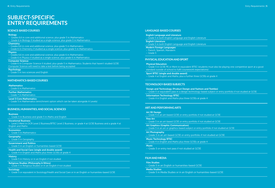### **SUBJECT-SPECIFIC ENTRY REQUIREMENTS**

#### **SCIENCE-BASED COURSES**

#### Biology

- Grades 6,6 in core and additional science, plus grade 5 in Mathematics
- Grade 6 in Biology if studied as a single science, plus grade 5 in Mathematics

#### **Chemistry**

- Grades 6,6 in core and additional science, plus grade 5 in Mathematics
- Grade 6 in Chemistry if studied as a single science, plus grade 5 in Mathematics

#### **Physics**

- Grades 6,6 in core and additional science, plus grade 6 in Mathematics
- Grade 6 in Physics if studied as a single science, plus grade 6 in Mathematics

#### Computer Science

– Grade 6 in Computer Science if studied, plus grade 5 in Mathematics. Students that haven't studied GCSE

### Computer Science will need to take a test before being accepted

**Psychology** 

– Grade 5 in two sciences and English

#### **MATHEMATICS-BASED COURSES**

#### **Mathematics**

– Grade 6 in Mathematics

#### Further Mathematics

– Grade 7 in Mathematics

#### Level 3 Core Mathematics

– Grade 5 in Mathematics (enrichment option which can be taken alongside A Levels)

#### **BUSINESS, HUMANITIES, AND SOCIAL SCIENCES**

#### **Business**

– Grade 5 in Business and grade 5 in Maths and English

Vocational Business

– Level 2 Merit in OCR Level 2 Business/BTEC Level 2 Business, or grade 4 at GCSE Business and a grade 4 at English and Maths

#### **Economics**

– Grade 5 in Mathematics

#### **Geography**

– Grade 5 in Geography

#### Government and Politics

– Grade 5 in an English or humanities-based GCSE

#### Health and Social Care (single and double award)

– Grade 4 in English and Maths plus three GCSEs at grade 4

#### **History**

– Grade 5 in History or in an English if not studied

#### Religious Studies (Philosophy & Ethics)

– Grade 5 in Religious Studies or in an English if not studied

#### Sociology

– Grade 5 or equivalent in Sociology/Health and Social Care or in an English or humanities-based GCSE

#### **LANGUAGE-BASED COURSES**

#### English Language and Literature

– Grade 5 in both English Language and English Literature

#### English Literature

– Grade 5 in both English Language and English Literature

#### Modern Foreign Languages

– French, Spanish, Mandarin

– Grade 5

#### **PHYSICAL EDUCATION AND SPORT**

#### Physical Education

– Grade 5 in GCSE PE or Merit in equivalent BTEC (students must also be playing one competitive sport at a good standard outside of school to fulfil coursework expectations)

#### Sport BTEC (single and double award)

– Grade 4 at English and Maths, plus a further three GCSEs at grade 4

#### **TECHNOLOGY-BASED SUBJECTS**

#### Design and Technology (Product Design and Fashion and Textiles)

– Grade 5 or equivalent pass in a design technology-based subject or entry portfolio if not studied at GCSE

#### Information Technology BTEC

– Grade 4 in English and Maths plus three GCSEs at grade 4

#### **ART AND PERFORMING ARTS**

#### Art 3D Design

– Grade 5 in an art-based GCSE or entry portfolio if not studied at GCSE

#### Fine Art

– Grade 5 in an art-based GCSE or entry portfolio if not studied at GCSE

#### Art Graphics (Graphic Communication) – Grade 5 in an art or graphics-based subject or entry portfolio if not studied at GCSE

#### Art Photography

– Grade 5 in an art-based GCSE or entry portfolio if not studied at GCSE

#### Music Technology BTEC

– Grade 4 in English and Maths plus three GCSEs at grade 4

#### Music

– Grade 5 or entry test pass if not studied at GCSE

#### **FILM AND MEDIA**

#### Film Studies

– Grade 5 in an English or humanities-based GCSE

#### Media Studies

– Grade 5 in Media Studies or in an English or humanities-based GCSE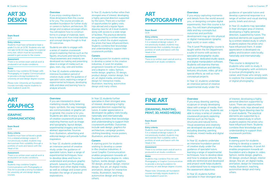

#### Exam Board **OCR**

#### Entry criteria

Students must have achieved at least a grade 5 in Art at GCSE. Students who did not take GCSE Art may apply for a special entry test, which must be successfully passed to gain access to the course.

#### **Assessment**

Exam Board **OCR** 

**(GRAPHIC** 

**ART** 

**GRAPHICS**

**COMMUNICATION)**

Entry criteria

Head of Art. Assessment

Notes

courses.

There is no written exam and all work is produced in art studio conditions.

#### Notes

Students may combine 3D Design with Photography or Graphic Communication to provide a strong foundation for university art and design degree courses.

Please note: University art foundation courses normally require students to have studied A Level Art.

Students must have achieved a grade 5 in a related art/design subject. If not previously studied, students may demonstrate their suitability through a portfolio of work and liaison with the

There is no written exam and all work is produced in art studio conditions.

Students may combine Graphic Communication with Photography or Fine Art to provide a strong foundation for university art and design degree

**Overview** 

If you enjoy creating objects in three dimensions then this course is for you. The course provides an excellent foundation for further study or careers in fashion, architecture, 3D design and sculpture amongst others. You will explore how to construct forms in a range of materials, learn how to take work from initial sketches and concept designs though to final 3D outcomes.

Students are able to engage with a series of creative coursework projects exploring themes such as the figures, structures and natural forms. Visual awareness and creativity are developed via making and presenting ideas in a range of media such as glass, resin, clay, wire and textiles.

In Year 12, students undertake an intensive foundation period of creative study under the guidance of specialist tutors, exploring a range of experimental techniques, developing skills and ideas and learning how to analyse artwork.

#### **Overview**

If you are interested in clever marketing visuals, funky lettering, logos, symbols, the way messages are communicated, or graphic art in general, this course is for you. Students are able to enjoy a series of creative coursework projects exploring themes such as image and typography, layout design, experimental imagery and more abstract approaches. Sources from illustration, advertising and inspiration.

In Year 12, students undertake an intensive period of creative study under the guidance of specialist tutors, learn a range of experimental techniques, how to develop ideas and how to understand and produce graphic artwork. Lessons on Photoshop, Illustrator and other digital media, as well as collage and screen print broaden the range of practical explorations.

In Year 13, students further refine their strongest area of interest, developing a highly personal direction supported by the tutors. There are a number of opportunities for gallery visits, trips abroad and a regular figure drawing class for all A level students along with access to a wide range of facilities. The practical elements are supported by a written related study in which the student explores the artists that have influenced them. Students combine their knowledge and understanding to support their coursework portfolio.

#### **Careers**

A starting point for students wishing to develop a career in the creative industries, A Level Art enables progression towards art foundation and a degree in: video, fashion, textile design, graphics, 3D design, product design, interior design, fine art, art digital media, animation, design for interactive media. illustration, teaching, automotive design and many others.

editorial design will provide further

In Year 13, students further specialise in their strongest area of interest, developing a highly personal direction supported by tutors. A wider appreciation is developed via gallery visits locally, nationally and internationally. Students combine their knowledge and understanding to support their coursework portfolio. Outcomes include web design, graphics for architecture, campaign posters, clothing branding, movie posters, illustration, and animation.

#### **Careers**

A starting point for students wishing to develop a career in the creative industries, A Level Graphic Communication enables progression towards art foundation and a degree in: video, fashion, textile design, graphics, 3D design, product design, interior design, fine art, art digital media, animation, design for interactive media, illustration, teaching, automotive design and many others.

### **ART PHOTOGRAPHY**

#### Exam Board **OCR**

Entry criteria Students must have achieved a grade 5 in a related art/design subject,. If not previously studied, students may demonstrate their suitability through a portfolio of work and liaison with the Head of Art.

#### Assessment

There is no written exam and all work is produced in art studio conditions.

#### **Overview**

If you enjoy capturing moments and details from the world around you, or designing complex digital experiments, then this course is for you. You will learn photographic skills and key concepts but outcomes and portfolio development may go into physical or digital manipulation (graphic style work) or even video. The A Level Photography course is

taught within the Art Department: a suite of rooms with access to specialist photographic studio equipment, dedicated studio space, and digital manipulation software. Students will examine themes such as portraiture and identity, textures, structures, video, gif and special effects, as well as more conceptual projects.

In Year 12, students undertake an intensive period of creative experimental study under the

#### **Overview**

If you enjoy drawing, painting, sculpture or simply developing ideas with a range of media, then this course is for you. Students are able to enjoy a series of creative coursework projects exploring themes such as the figure, structures and natural forms. Visual awareness and creativity are developed via areas of study including drawing, painting, sculpture, mixed media and digital media.

In Year 12, students undertake an intensive foundation period of creative study under the guidance of specialist tutors, learning a range of experimental techniques, how to develop ideas and how to analyse artwork. Key skills are reinforced and developed and project work helps students to understand how to respond to the assessment objectives.

In Year 13, students further specialise in their strongest area

#### guidance of specialist tutors and develop a personal response to a range of written and visual starting points, briefs and stimuli.

In Year 13, students may specialise in their strongest area of interest, developing a highly personal direction, supported by tutors. The practical elements are supported by a written related study in which students explore the artists who have influenced them. A wider appreciation is developed via gallery and location visits locally, nationally and internationally.

#### **Careers**

This course is designed for students who wish to study A Level Photography with ambitions to pursue photography as a career, and those who simply wish to explore the creative possibilities of digital photography.

of interest, developing a highly personal direction supported by tutors. There are opportunities for gallery visits, trips abroad and a regular figure drawing class for A Level students. The practical elements are supported by a written related study in which students explore the artists who have influenced them. Students combine their knowledge and understanding to support their coursework portfolio.

#### **Careers**

A starting point for students wishing to develop a career in the creative industries, A Level Art enables progression towards art foundation and a degree in: video, fashion, textile design, graphics, 3D design, product design, interior design, fine art, art digital media, animation, design for interactive media, illustration, teaching, automotive design and many others.

# **FINE ART**

#### **(DRAWING, PAINTING, PRINT, 3D, MIXED MEDIA)**

Exam Board **OCR** 

#### Entry criteria

Students must have achieved a grade 5 in a related art/design subject. If not previously studied, students may demonstrate their suitability with a portfolio of work and liaison with the Head of Art.

There is no written exam and all work is

#### Assessment

produced in art studio conditions.

#### Notes

Students may combine Fine Art with Photography or Graphic Communication to provide a strong foundation for university art and design degree courses.

Please note: University art foundation courses normally require students to have studied A Level Art.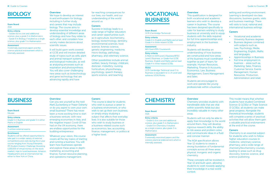

#### Exam Board

#### AQA

#### Entry criteria

- Grades 6,6 in core and additional science, plus a grade 5 in Mathematics - Grade 6 in Biology if studied as a single science, plus grade 5 in Mathematics

#### **Assessment**

3 externally examined papers and the science practical endorsement which is internally assessed.

We hope to develop an interest in and enthusiasm for biology, including in further study and careers that may include biology. The course aims to develop essential knowledge and understanding of different areas of biology and how they relate to each other, and considers how society makes decisions about scientific issues.

It will build upon work covered at GCSE and will involve detailed study of topics such as cells, plant and animal transport systems and biological molecules, as well as analysing processes such as respiration and photosynthesis. You will also cover challenging new areas such as biotechnology and gene technology that are advancing rapidly and have

far-reaching consequences for our lives, our health, and our understanding of the world around us.

#### **Careers**

Success in biology leads to a wide range of higher education and career opportunities such as in agriculture, biochemistry, biology, biotechnology, dentistry, environmental sciences, food science, forensic science, genetic engineering, medicine, micro-biology, pathology, pharmacy, and veterinary science.

Other possibilities include animal welfare, beauty therapy, childcare, dietician, midwifery, nursing, horticulture, physiotherapy, psychology, speech therapy, sports science, and teaching.

### **VOCATIONAL BUSINESS**

#### Exam Board OCR (Cambridge Technical)

### Entry criteria

Grade 4 in English and Maths and at least Grade 4 in three related GCSEs

Assessment 66% Exam/33% Coursework

#### Entry criteria

A Merit in OCR Level 2 Business/BTEC Level 2 Business, or Grade 4 at GCSE Business, English and Maths and at least Grade 4 in three related GCSEs.

#### Notes

OCR Cambridge Technical Level 3 in Business is equivalent to 1 x A Level and achieves UCAS Points.

**Overview** 

This qualification is designed for both vocational and academic learners who wish to develop a career in business. The course has been designed specifically to cater for learners wishing to study business at university and to equip students with the skills required for full time apprenticeships and employment in the business industry. Students will develop an

understanding of how business are constructed and how areas of the business must coordinator together as part of team, for example; Human Resources, Marketing, Finance & Accounts, Economics, Law, Business Management, Event Management and Sales.

Students are encouraged to work and operate like young professionals within a business

#### setting and working environment. Learning is developed via class discussions, business guests, visits and business meetings. There will visits to local, national and international business settings.

#### **Careers**

- Vocational and academic University Business degrees.
- Business degrees combined with subjects such as, Law, Psychology, Media, Engineering, English, Maths and languages.
- Apprenticeships in Business
- Full time employment in business – areas such as, Marketing, Sales, Finance, Customer Service, Events Management, Human Resources, Production, Administration and retail.

## **BUSINESS** Overview

#### Exam Board

Eduqas

Entry criteria Grade 5 in Business and grade 5 in either Maths or English

#### **Assessment**

3 written external exams.

#### Enrichment

Students will be offered opportunities to take part in a wider variety of external competitions and visits during the 2-year course ranging from Young Enterprise, IFS Student Investor Challenge (Investing £100,000 of virtual money on the stock market), trips to local businesses, Amazon Headquarters and an international trip either to New York or China.

### Can you see yourself as the next

Mark Zuckerberg or Fraser Doherty or do you aspire to own your own small business? There has never been a more exciting time to start a business venture; with new emerging economies in Asia, and the negative impact Covid-19 has had on the UK economy, there are endless opportunities for the budding entrepreneur.

Whatever your vision, this course covers all the key topics of starting and running a business. You will learn how businesses operate and explore these areas in depth: marketing, accounting and finance, human resource planning, and operations management.

#### **Careers**

This course is ideal for students who wish to pursue a career in a business environment, or who wish to set up their own business, or simply enjoy studying a subject that affects their everyday lives. It is also suitable for those who wish to study business or a business-related course such as economics, law, accounting, finance, management, or politics at a higher level.

## **CHEMISTRY** Overview

#### Exam Board AQA

#### Entry criteria

- Grade 6, 6 in core and additional science, plus grade 5 in Mathematics - Grade 6 in Chemistry if studied as a single science, plus grade 5 in **Mathematics** 

#### Assessment

3 externally examined papers and the science practical endorsement which is internally assessed.

Chemistry provides students with transferable skills that are vital within scientific fields but also incredibly valuable in many other areas.

Students will not only be able to apply their knowledge to the world around them, they will develop rigorous research skills, the ability to risk assess and problem solve and communicate ideas in a fluid and concise manner.

The AQA specification allows Year 12 students to create a strong foundation of fundamental concepts across all three areas: physical, inorganic and organic chemistry.

These concepts will be revisited in Year 13 and built upon, allowing students to work towards applying their knowledge in a real-world context.

This model means that whether students have studied Combined Science (2 GCSEs) or Triple Science (3 GCSEs), all students can make great progress. Alongside the theoretical knowledge, students will complete a series of practical activities that will allow them gain a valuable practical endorsement at the end of the course.

#### **Careers**

Chemistry is an essential subject for students who wish to follow higher education courses in medicine, veterinary science, pharmacy, and a wide range of chemistry/biochemistry courses, leading to areas such as drug discovery, forensic science, and science publishing.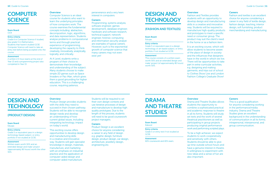### **COMPUTER SCIENCE**

#### Exam Board **OCR**

### Entry criteria

Grade 6 in Computer Science if studied, plus grade 5 in Mathematics. Students that haven't studied GCSE Computer Science will need to take an entry test before being accepted onto the course.

#### Assessment

2 written 2.5-hour exams at the end of Year 13 and a programming project also completed in Year 13.

### **Overview**

Computer Science is an ideal course for students who want to learn the underlying principles of how computers work. The course examines the fundamental concepts including: abstraction, decomposition, logic, algorithms, and data representation. Students analyse problems in computational terms and through practical experience of programming, developing the capacity to think creatively, innovatively, analytically, logically, and critically.

#### At A Level, students write a program of their choice to demonstrate their knowledge and understanding of the subject. Many students choose to make simple 2D games such as Space Invaders or Pac-Man, which gives them a good grounding for higher education. This is a challenging course, requiring patience,

perseverance and a very keen interest in computers.

#### **Careers**

Programming, systems analysis, software engineer, games development, database engineer, hardware and software research, technical support, network engineer, forensic computing and information security analyst are examples of typical careers. However, such is the exponential growth of computer science that many careers may not even exist yet!

## **DESIGN AND TECHNOLOGY**

### **(FASHION AND TEXTILES)**

#### Exam Board Eduqas

### Entry criteria

Grade 5 or equivalent pass in a design technology or art-based subject, or entry portfolio if not studied at GCSE.

#### Assessment

This course consists of a written exam worth 50% and an extended 'design and make' project (of approximately 80 hours) worth 50%.

#### **Overview**

Fashion and Textiles provides students with an opportunity to develop design and manufacturing skills in a creative and innovative way. Students will be required to manufacture high-quality products and prototypes to meet a specific need or consumer group. The product may suit the client's need in the home or as a fashion item.

It is an exciting course, which will allow students to become aware of the place of design in society and the influences that designers have in the world in which we live. There will be opportunities to take part in extra-curricular activities, e.g. designing and making garments, and trips out of school to Clothes Show Live and London Fashion College's Graduate Show!

#### **Careers**

Fashion and textiles is an excellent choice for anyone considering a career in any field of textile design, fashion design, teaching, interior design, soft furnishing, product merchandising and manufacturing.

## **DESIGN AND TECHNOLOGY**

### **(PRODUCT DESIGN)**

#### Exam Board Eduqas

#### Entry criteria

Grade 5 or equivalent pass in a design technology-based subject, or entry portfolio if not studied at GCSE.

#### Assessment

Written exam worth 50% and an extended 'design and make' project (approximately 80 hours) worth the other 50%.

### **Overview**

Product Design provides students with the skills they need to succeed in their chosen pathway. Students will be able to recognise design needs and develop an understanding of how current global issues, including integrating technology, impact on today's world.

This exciting course offers opportunities to develop design and manufacturing skills in a creative and innovative way. Students will gain specialist knowledge in design, materials, manufacture, and marketing with an emphasis on industrial practice and the application of computer-aided design and computer-aided manufacture.

Students will be required to set their own design contexts and use iterative processes of design and manufacture to develop high quality prototypes. Due to the length of this process, students will need to be good coursework project managers.

#### **Careers**

Product Design is an excellent choice for anyone considering a career in any field of design e.g. graphic design, furniture design, product design, car design, architecture, jewellery design, engineering etc.

## **DRAMA AND THEATRE STUDIES**

Exam Board

GCSE.

Edexcel

Entry criteria Grade 5 or entry test if not studied at

Assessment

60% coursework and 40% exam.

#### **Overview**

Drama and Theatre Studies allows students the opportunity to combine a sophisticated practical and academic response to theatre in all its forms. Students will study set texts and the work of several theatrical practitioners as well as participating in group projects producing original performance work and performing scripted plays.

To be a high achiever, we expect students to work cooperatively and sensitively with others. Students should be able to give up time outside school hours and have a genuine interest in theatre. A willingness to experiment with new ideas and a sense of fun are also important.

#### **Careers**

This is a good qualification for anyone considering working in the performance/media industry. Drama and Theatre Studies gives an excellent background in the understanding of communication in all its forms; intrapersonal, interpersonal, and group communication.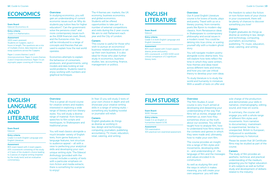## **ECONOMICS** Overview

#### Exam Board

Edexcel (Economics A)

### Entry criteria

Grade 5 in Mathematics.

#### Assessment 100% exam assessed.

Students sit 3 papers; each 2 hours in length. The questions are a mix of multiple choice, data response, and essay questions across the 3 papers.

Paper 1 covers themes 1 and 3 (microeconomics). Paper 2 covers themes 2 and 3 (macroeconomics). Paper 3 is an asynoptic paper covering all 4 themes.

In studying economics, you will gain an understanding of current economic issues such as 'Why do students pay tuition fees for higher education?', 'Can the government solve the pensions crisis?' and more contemporary issues such as the 2008 financial crash, Brexit, and the Eurozone crisis. You will be introduced to a range of concepts and theories that are used to explain how the real world operates.

Economics attempts to explain the behaviour of consumers, producers, and governments, using models and data looking at real world problems. Students need to enjoy working with numbers and graphical techniques.

The 4 themes are: markets, the UK economy, business economics, and global economics. Students will be offered opportunities to take part in a number of external competitions and visits during the 2-year course. We aim to visit Parliament each year and the City of London.

#### **Careers**

This course is useful for those who wish to pursue an economics/ business-related profession or set up their own business. It is also ideal for those who plan further study in economics, business studies, law, accounting, finance, management or politics.

## **ENGLISH LITERATURE**

#### Exam Board Edexcel

Entry criteria

#### Grade 5 in both English Language and English Literature.

#### Assessment

80% exam-based with 3 exam papers: drama, prose and poetry. 20% coursework: a 2,500-3,000 word critical comparison of 2 significant literary texts.

#### **Overview**

Our A Level English Literature course is for lovers of books, plays and poetry. Travel with us on a literary journey, from romantic poets like Byron to modern-day classics; from Renaissance ideas in Shakespeare to contemporary philosophy and social issues in a modern novel. You could be delving into true crime, or scaring yourself silly with a modern ghost story.

You will navigate modern poetry alongside iconic drama texts. You will explore how texts reflect the time in which they were written, how themes and ideas travel across different texts and times and how you can use critical theory to develop your own ideas.

To study literature is to study the world and humanity in miniature. With a wealth of texts on offer and

The Film Studies A Level course is very much aimed at developing and deepening your understanding of the way that films tell us stories, engage and entertain us, even how they sometimes show us the truth about our societies. You will be taught how to analyse film, how to understand how films relate to the contexts and genres in which they were made and, ultimately, how to make your own film.

into a range of film styles and movements, developing skills in - and understanding of - the language of film and the messages and values encoded in its construction.

As well as studying film and the ways in which it makes meaning, you will create your own sequence: you will take

12 | Guide to Courses Guide to Courses | 13

the freedom to select the fiction or non-fiction texts of your choice in your coursework, there will be plenty of chances to discover something you love!

#### **Careers**

English graduates do things as diverse as working in law, design and technology, computing, journalism, accountancy, publishing, TV, music, education, retail, catering, and writing.

## **ENGLISH LANGUAGE AND LITERATURE**

#### Exam Board Edexcel

#### Entry criteria

Grade 5 in both English Language and English Literature.

#### Assessment

80% exam based with 2 exam papers. 20% coursework consisting of the study of 2 texts of the student's choice leading to 2 pieces of original writing (inspired by the study texts) and an evaluative commentary.

### **Overview**

This is a great all-round course for creative writers and readers interested in exploring a wide range of literary and non-literary styles. You will study a diverse range of material: from famous speeches to film scripts and travelogues, to Shakespeare and traditional prose.

You will read classics alongside a much broader variety of English texts, from genre features to language features, text structure to audience appeal – all with a view to perfecting your analytical skills and developing your own unique writing style. The Edexcel Anthology (provided with the course) includes a variety of texts with a particular emphasis on non-fiction and media extracts; there is something for everyone to enjoy!

In Year 13 you will study 2 texts of your own choice in depth and will showcase your creative writing skills in a range of writing styles – something any budding novelist or journalist will relish.

#### **Careers**

English graduates do things as diverse as working in law, design and technology, computing, journalism, publishing, accountancy, TV, music, education, retail, catering, and writing.

**FILM STUDIES** Overview

#### Exam Board

WJEC Eduqas Entry criteria Grade 5 in an English or

humanities-based GCSE. Assessment

#### 70% examination

30% practical non-examined assessment.

The course provides an insight

sole charge of the production and demonstrate your skills in narrative, cinematography, editing, sound, and mise-en-scene.

In summary, the course will engage you with a whole range of different film styles and movements: from narrative to documentary; mainstream to experimental; familiar to unexpected; British to European; Hollywood to worldwide; contemporary to historical.

Please be aware that 18 Certificate films may be studied as part of the course.

#### **Careers**

The study of film provides an aesthetic, technical, and practical understanding of the medium, preparing you for higher education in arts subjects as well as further study and development of skillsets related to the industry.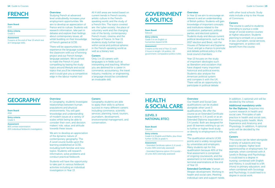

#### Exam Board

AQA

Entry criteria Grade 5

**Assessment** 3 exams at the end of Year 13 which test all 4 language skills.

Studying French at advanced level undoubtedly increases your employment opportunities. We aim to develop an appreciation of France and its culture. Students will research information, take part in debates and explore their feelings about contemporary issues, all whilst building on their knowledge of French gained at GCSE.

There will be opportunities to experience the language outside of the classroom with our eTwinning project and our French foreign language assistant. We've aimed to make the French A Level compelling by basing the study topics around lifestyle and social topics that you'll be interested in and it could give you a competitive edge in the labour market too!

All 4 skill areas are tested based on current trends in French society, artistic culture in the Frenchspeaking world, and the study of a French film. The topics covered are: the 'cyber society', the place of voluntary work and the changing role of the family, contemporary French music, cinema, and the heritage of France. In Year 13, students study further topics within social and political spheres in the French-speaking world as well as a literary text.

#### **Careers**

Only 1 in 10 careers with languages is in fields such as interpreting and teaching. Whether you are destined for a career in commerce, accountancy, the travel industry, medicine, or engineering, a language should be considered an invaluable skill.

## **GOVERNMENT & POLITICS**

#### Exam Board Edexcel

Entry criteria

Grade 5 in an English or humanities-based GCSE.

#### **Assessment** 3 exams at the end of Year 13, each

2 hours in length: UK politics; UK government; comparative politics (USA).

#### **Overview**

In Year 12 we aim to encourage an interest in and an understanding of British politics. Students will gain knowledge of important concepts and institutions related to the constitution, parliament, political parties, and electoral systems. Students study and discuss current political developments, such as the 2017 election and Brexit, visit the Houses of Parliament and Supreme Court, and get a chance to promote and debate political policy in the local council chambers.

Year 13 focuses on the study of important ideologies such as liberalism and socialism that have shaped many important historical and political events. Students also analyse the American political system and compare it with the UK. There will be an opportunity to participate in political debate

with other local schools. Study visits include a trip to the House of Commons.

#### **Careers**

The course is useful to students intending to pursue a wide range of social science courses at higher education. Students planning to embark on a career in law, journalism, social services, management, or politics will benefit from the course.

## GEOGRAPHY Overview

#### Exam Board AQA

Entry criteria

Grade 5.

Assessment 80% written examination 20% individual fieldwork investigation.

In Geography, students investigate relationships between human populations and physical environments. You will gain knowledge and understanding of modern issues at a variety of scales whilst being be able to consider their own, and decision makers' role, value, and attitude towards these issues.

We aim to develop an appreciation of the dynamic nature of contemporary geography. The A Level course builds upon the learning established at GCSE, including both familiar and new topics. Students will research information, solve problems and conduct practical fieldwork.

Students will have the opportunity to take part in various fieldwork activities including an individual investigation in Year 13.

#### **Careers**

Geography students are able to apply their skills to achieve success in many different careers including commerce, scientific services, planning, travel, tourism, journalism, development, environmental management, and conservation.

### **HEALTH & SOCIAL CARE**

**(LEVEL 3 NATIONAL BTEC)**

#### Exam Board Edexcel

### Entry criteria

Grade 4 in English and Maths, plus three further GCSEs at grade 4.

#### Assessment

- Extended Certificate option (1 A Level) – 4 units (58% externally assessed)

- Extended Diploma option (3 A Levels) – 13 units (42% externally assessed)

#### **Overview**

Our Health and Social Care qualifications can be studied alongside other Level 3 qualifications. We offer the course as an Extended Certificate (equivalent to 1 A Level) or as an Extended Diploma (equivalent to 3 A Levels). Both are designed for post-16 learners wishing to go on to further or higher-level study or directly to employment in this area.

The qualification attracts UCAS points and is widely recognised by universities and employers. Many students opt for this qualification because 40% of the final assessment is comprised of ongoing coursework, and the assessment is not solely based on terminal examinations at the end of Year 13.

Extended Certificate: Human lifespan development; Working in health and social care; Meeting individual care and support needs.

#### In addition, 1 optional unit will be decided by the school.

#### Additional mandatory units for the Diploma: Enquiries into current research in health and social care; Principles of safe practice in health and social care; Promoting public health, Work Experience and Anatomy and Physiology. In addition, 4 optional units will be decided by the school.

#### **Careers**

This course can be taken alongside a variety of subjects and may lead to a degree, higher level apprenticeship or employment. For example, when combined with A Levels in Biology and Psychology, it could lead to a degree in nursing; combined with English and History, it could lead to a BA (Hons) in primary education; and when combined with Sociology and Psychology, it could lead to a degree in social work.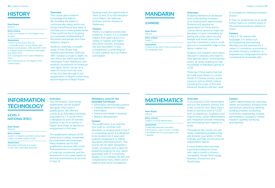

#### Exam Board

#### Edexcel

Entry criteria Grade 5 in History or in an English if not studied.

#### Assessment

3 exams at the end of Year 13: 1. A breadth study on how Britain was transformed between 1918 and 1997 (30%) 2. A depth study on America in the 1920s and 1930s (20%) 3.An investigation into Tudor Rebellions (30%). 20% coursework on Civil Rights in the United States.

This course gives students knowledge and skills for life, including the ability to communicate clearly and to not accept everything at face value. It will help you to make greater sense of the world we live in by giving you increased understanding of the events and people who have helped to shape it.

Students undertake a breadth study of how Britain was transformed between 1918 and 1997, conduct a study in depth on the USA in the 1920s and 1930s, investigate Tudor Rebellions, and produce coursework on American civil rights, which can be on a topic of choice from the end of the Civil War through to the assassination of Martin Luther King and emergence of Black Power.

Students have the opportunity in Years 12 and 13 to visit Hampton Court Palace, the National Archives, and the Houses of Parliament.

#### **Careers**

History is a highly revered and academic A Level. It is a versatile subject that opens doors to a variety of careers and higher education courses, including law and journalism. It also complements a wide range of A Level subjects such as Politics and English.

## **MANDARIN**

### **(CHINESE)**

#### Exam Board Edexcel

Entry criteria

### Grade 5

Assessment 3 exams at the end of Year 13 which test all 4 language skills.

#### **Overview**

Studying Mandarin at advanced level undoubtedly increases your employment opportunities. Students will develop an appreciation of China and its culture. We've aimed to make the Mandarin A Level compelling by basing the study topics around lifestyle and social topics that you'll be interested in and it could give you a competitive edge in the labour market too!

Students will research information, take part in debates, and explore their feelings about contemporary issues, all whilst building on their knowledge of Mandarin gained at GCSE.

There are 3 final exams that test all 4 skill areas based on current trends in Chinese society, social issues as well as artistic culture, including the study of film and literature. Students will also need

#### to complete an individual research project.

In Year 13, students go on to study further topics on current issues in the social and political spheres in China.

#### **Careers**

Only 1 in 10 careers with languages is in fields such as interpreting and teaching. Whether you are destined for a career in commerce, accountancy, the travel industry, medicine, or engineering, a language should be considered an invaluable skill.

## **INFORMATION TECHNOLOGY**

### **(LEVEL 3 NATIONAL BTEC)**

#### Exam Board Edexcel

Entry criteria Grade 4 in English and Maths and at least Grade 4 in three related GCSEs

#### Assessment

Extended Certificate (1 A Level) – 4 units (50% externally assessed)

### **Overview**

This Information Technology qualification can be studied alongside other Level 3 qualifications. We offer the course as an Extended Certificate (equivalent to 1 A Level) which is designed for post-16 learners wishing to go on to further or higher level study, or directly to employment in this area.

The qualification attracts UCAS points and is widely recognised by universities and employers. Many students opt for this qualification because 50% of the final assessment is comprised of ongoing coursework, and the assessment is not solely based on terminal examinations at the end of Year 13.

### Mandatory units for the

- Extended Certificate:
- Information technology systems • Creating systems to manage information
- Using social media in business
- Website development.

#### **Careers**

The qualification is for learners who wish to continue with education or employment in the IT or computing sector. It is designed to be studied over 2 years and supports progression to higher education and employment. This course can be taken alongside a variety of subjects and is ideal for preparing students for any career associated with IT or business. Equally, IT is a valuable life skill and complements many other Level 3 subjects and future occupations.

## **MATHEMATICS** Overview

Exam Board

Edexcel

Entry criteria Grade 6 in GCSE Mathematics.

#### Assessment

3 externally assessed calculator examinations, each 2 hours in length. Candidates will sit 2 pure papers and 1 applied.

If you enjoyed GCSE Mathematics and you like problem-solving, this is the course for you. Many topics build on previous work at GCSE such as sequences, quadratics and trigonometry, whilst differentiation and integration provide interesting and stimulating new material to study.

#### **Careers**

Career opportunities are many and varied: accountancy, actuarial work, architecture, astronomy, banking, building societies, computing, economics, engineering, hospital administration, insurance, market research, quantity surveying, and teaching.

Throughout the course you will tackle challenging problems that will develop your ability to think logically and help you become an independent learner.

A Level Mathematics provides a good grounding for those who take A Levels in Science, Geography, Design Technology, Business, Economics, and

Psychology.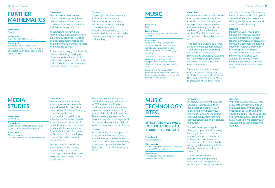## **FURTHER MATHEMATICS**

#### Exam Board Edexcel

#### Entry criteria

Grade 7 in GCSE Mathematics.

#### **Assessment**

4 externally assessed calculator examinations, each 1.5 hours in length. Candidates will sit 2 pure papers and 2 'option' papers.

### **Overview** This double A Level course

is for students who truly love mathematics and want the challenge of studying a broader and deeper range of topics.

In addition to work in pure mathematics, applications of the subject to mechanics, statistics and decision mathematics are studied to provide a wide-ranging and inspiring course.

Students who may go on to study mathematics, engineering or physics at university would find Further Mathematics very useful, particularly if they want to apply to a higher tariff university.

#### **Careers**

Career opportunities are many and varied: accountancy, actuarial work, architecture, astronomy, banking, building societies, computing, economics, engineering, hospital administration, insurance, market research, quantity surveying, and teaching.

## **MUSIC** Overview

#### Exam Board **OCR**

Entry criteria Grade 5, or entry test if not studied

### at GCSE.

#### Assessment

Performing (30%) - Coursework: Students will perform a 6-minute recital on an instrument of their choice. Students can offer singing as an option.

Composition (30%) - Coursework: Students present 2 pieces of composition – 1 completely free choice and 1 on a brief provided by OCR.

Listening and Appraising (40%) - Exam: Students sit an exam based on familiar and unfamiliar music studied throughout the course.

While some students will choose this course because they intend to study music at university or college, it is equally appealing to those who enjoy music or are looking for a subsidiary subject. The skills it develops complement other subjects very well.

This course is divided into three areas, the practical components – performing and composing, and the more theoretical listening and appraising. Students can follow different pathways according to their particular musical strengths.

Students will study pieces of music from four different areas of study: The Classical Concerto, Developments of Popular Music, Programme Music 1820-1900

and Innovations in 20th Century Music. Students will build up their theoretical, aural and analytical skills by studying set works and through wider listening.

#### **Careers**

Studying A Level music can be a leap into music specific careers including: performer, teacher, administrator, songwriter, conductor, composer, recording engineer, manager, promoter, or music publisher. Music also complements a range of commonly studied A Level subjects like Maths, Physics, English and Biology in order to keep higher education options open.

## **MEDIA STUDIES**

#### Exam Board WJEC Eduqas

Entry criteria Grade 5 in GCSE Media Studies or in an English or humanities-based GCSE.

Assessment 70% examination 30% practical non-examined assessment.

### **Overview**

The fundamental questions around the role of the media are addressed through this A Level course. The ever-changing complexity of the media landscape is studied through a theoretical framework based around the core concepts of media language, representation, media industries and audiences. A contextual element is applied to the above, often developing comparative skills relative to different texts.

The texts studied consist of advertising and marketing; film industry; music video; newspapers; radio; video games; television; magazines; online/ social media.

There is a heavy emphasis on practical work – you will use skills in DTP and Moving Image to produce a sequence from a new television programme – putting your analytical skills into practice. There is an engagement with theory embedded in all aspects of the course, developing analytical skill in tandem with practical work.

#### **Careers**

Media Studies is a launchpad into a range of careers and higher education opportunities in the media and entertainment industry – one with a projected worth of £80 billion to the UK economy by 2023.

## **MUSIC TECHNOLOGY BTEC**

### **(BTEC NATIONAL LEVEL 3 EXTENDED CERTIFICATE IN MUSIC TECHNOLOGY)**

#### Exam Board Pearson (Edexcel)

Entry criteria

Grade 4 in English and Maths, plus three further GCSEs at grade 4

#### Assessment 66% coursework, 33% externally assessed examination

#### **Overview**

If you have an interest in music and how it's produced, then this course is ideal for you. It is designed to increase your knowledge and understanding of music production software, commercial music and recording techniques.

You will develop and apply theory and practical skills though learning how to mix, master and produce your own music in Logic Pro, how to record live instruments and creatively using digital audio. You will also develop an understanding of studio roles.

You do not need to be a performer to complete this course, but an enjoyment of music and creativity are a must.

#### Careers

With this qualification, you can move into virtually any area in the music industry from studio production to live sound, even acoustic design. This BTEC carries the same amount of credit as a full A-level so it will assist you in applications to universities and colleges.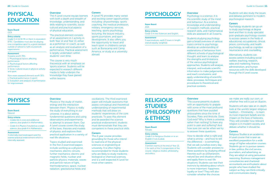### **PHYSICAL EDUCATION**

#### Exam Board **OCR**

#### Entry criteria

Grade 5 in GCSE PE or Merit in equivalent BTEC. Candidates must also be playing one competitive sport to a good standard outside of school to fulfil coursework expectations.

#### **Assessment**

3 exams worth 70%: 1. Physiological factors affecting performance 2. Psychological factors affecting performance 3. Socio-cultural issues in physical activity and sport. Non-exam assessed element worth 30%:

1. Practical performance (1 sport) 2. Evaluation and analysis of performance for improvement.

#### **Overview** The A Level course equips learners with both a depth and breadth of knowledge, understanding, and skills relating to scientific, sociocultural and practical aspects of physical education.

The practical element consists of an assessment in 1 activity in both Year 12 and Year 13, either as a performer or coach, as well as an analysis and evaluation of a performance. Practical assessment is largely undertaken within students' own time.

#### The course is very much theoretical with an emphasis on 'sports science'. Students will be expected to research different media to help underpin the knowledge they have gained within lessons.

#### **Careers**

A Level PE provides many varied and exciting career opportunities including: physiotherapy, sports coaching, the medical profession, military, emergency services, teaching, sports psychology, lecturing, the leisure industry, sports journalism, and sport development. It also offers you the opportunity to travel and teach sport in children's camps such as Bunacamp and Camp America, or study at a university abroad.

### **PSYCHOLOGY** Overview

#### Exam Board

#### AQA

Entry criteria Grade 5 in two Sciences and English.

### Assessment

3 examinations, each 2 hours in length and all equally weighted.

Psychology is a science. It is the scientific study of the mind and behaviour. As a science, knowledge and understanding of research methods, practical research skills, and mathematical skills are assessed in all 3 exams.

Students studying psychology gain a broad overview of various topics central to psychology; develop an understanding of explanations of behaviour from different schools of psychological thought, and learn to analyse the strengths and limitations of the various psychological approaches. Students will analyse, interpret, and evaluate scientific information to make judgements and reach conclusions; and apply understanding of scientific ideas, processes, techniques and procedures to theoretical and practical contexts.

Students will also study the issues and debates pertinent to modern psychological research.

#### **Careers**

Psychology students can go on to study psychology at degree level and then to study specialist post-graduate psychology courses to access careers in the fields of educational, occupational, clinical, prison, community, and health psychology, as well as cognitive neuroscience and counselling.

Alternatively, students can access careers including social welfare, teaching, research, sales and marketing, finance, administration, and human resources with the skills developed through the A Level course.

## **PHYSICS** Overview

#### Exam Board Edexcel

Entry criteria

- Grades 6,6 in core and additional science, plus grade 6 in Mathematics.
- Grade 6 in Physics if studied as a single science, plus grade 6 in Mathematics.

#### **Assessment**

3 externally examined papers and the science practical endorsement which is internally assessed.

### Physics is 'the study of matter,

energy and the interaction between them'. Physics is really the study of everything in our universe; it is about asking fundamental questions and using observations and experiments to attempt to answer them. Our A Level course covers the study of the laws, theories and models of physics, and explores their practical application in a variety of real-life situations.

Topics studied and examined in the first 2 examined papers include working as a physicist, mechanics, electric circuits, further mechanics, electric and magnetic fields, nuclear and particle physics, materials, waves and particle nature of light, thermodynamics, space, nuclear radiation, gravitational fields and

oscillations. The third examined paper will include questions that assess conceptual and theoretical understanding of experimental methods that will draw on students' experiences of the core practicals. To pass this element and be awarded the science practical endorsement, students must demonstrate that they are competent in these practical skills.

#### **Careers**

The 2-year course provides grounding for those who intend to read one of the physical sciences or engineering at university. It is often highly recommended for those students who are likely to study medicine, biological or chemical sciences, and is a well respected A Level for most other careers.

## **RELIGIOUS STUDIES (PHILOSOPHY & ETHICS)**

#### Exam Board **Edugas**

Entry criteria

#### Grade 5 in Religious Studies or in an

English if not studied.

#### Assessment

3 written exams at the end of Year 13; 1 for each of the 3 components of the course: religious studies, philosophy, and ethics.

#### **Overview**

This course presents students with an opportunity to grapple with some of the most profound questions that have puzzled philosophers since the time of Socrates, Plato and Aristotle. Does God exist? Why is there a universe, rather than nothing? Is there any point to pain and suffering? And how sure can we be when we try to answer these questions.

How to decide what is right and what is wrong – and how to tell the difference – is something that we ask ourselves every day. Students will consider answers to these questions by studying ethical theories such as utilitarianism, natural law and situation ethics and apply them to real-life situations. Students can test their instincts by debating about which is more important: happiness, loyalty or love? They will also consider whether the choices

we make are really our own, or whether free will is just an illusion.

Students will also take an in-depth look at the world's largest religious tradition – Christianity – to learn its most important beliefs and its impact on the lives of believers. They will consider how relevant religion is in modern society and debate whether it should be.

#### **Careers**

Religious Studies is an academic A Level course that is seen as excellent preparation for a wide range of higher education courses. Students go on to pursue careers in law, politics, the civil service, journalism, and advertising, as they are adept at using persuasive reasoning. Business management consultancies and chartered accountants are enthusiastic about people who have studied the subject as they can think critically and communicate clearly.

20 | Guide to Courses | 21 | Guide to Courses | 21 | Guide to Courses | 21 | Guide to Courses | 21 | Guide to Courses | 21 | Guide to Courses | 21 | Guide to Courses | 21 | Guide to Courses | 21 | Guide to Courses | 21 |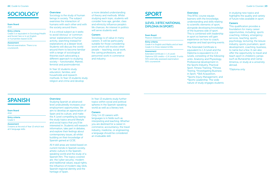## **SOCIOLOGY** Overview

#### Exam Board

### AQA

#### Entry criteria

Grade 5 or equivalent in Sociology/Health and Social Care or in an English or humanities-based GCSE.

**Assessment** Eternal examination. There is no coursework.

Sociology is the study of human beings in society. The subject examines the interaction of humans with each other and with the society around them.

It is a critical subject as it seeks to avoid 'obvious' or 'common sense' explanations of human activity, searching instead for explanations at a deeper level. Students will discuss the world around them to become familiar with a range of sociological theories each advocating a different approach to studying society – functionalist, Marxist, feminist and postmodernist.

#### In Year 12 students study education, families, and households and research methods. In Year 13 students study religion and crime and develop

a more detailed understanding of theory and methods. Whilst studying each topic, students will consider how age, gender, class and ethnicity influence people's life chances. An interest in politics will serve students well.

#### **Careers**

Sociology is of value in many careers. It will be particularly suitable for those considering work which will involve other people – teaching, social work, the caring professions, and personnel work in commerce and industry.

### **SPORT**

### **(LEVEL 3 BTEC NATIONAL DIPLOMA IN SPORT)**

#### Exam Board

Pearson (Edexcel)

Entry criteria

Assessment

50% coursework

Grade 4 in English and Maths and at least

Grade 4 in three related GCSEs

Extended Certificate (= 1 A Level) Diploma (120 credits = 2 A Levels): 9 units 50% externally assessed examination

to scientific elements of sport,

**Overview** 

alongside developing knowledge of the business side of sport. This is combined with leadership in sport so learners will gain experience on how to coach, organise and lead sporting events.

This BTEC course equips learners with the knowledge, understanding and skills relating

The Extended Certificate is equivalent to 1 A Level and the Diploma is equivalent to 2 A Levels, consisting of the following units: Anatomy and Physiology, Professional development in the Sports Industry, Practical Sport, Fitness Training, \*Fitness Testing, \*Investigating Business in Sport, \*Skill Acquisition, \*Sports Injury Management, and \*Sports Leadership. The wide nature of study engages students

in studying new topics and highlights the quality and variety of future roles available in sport.

#### **Careers**

This qualification provides a foundation for many career opportunities, including: sports coaching, military, emergency services, teaching, sports psychology, lecturing, the leisure industry, sports journalism, sport development, coaching, business, to name but a few. It can also offer the opportunity to travel and teach sport in children's camps such as Bunacamp and Camp America, or study at a university abroad.

\*Diploma only

## **SPANISH** Overview

#### Exam Board AQA

Entry criteria

Grade 5

### **Assessment**

3 exams at the end of Year 13 which test all 4 language skills.

In Year 13 students study further topics within social and political spheres in the Spanish-speaking

#### **Careers**

Only 1 in 10 careers with languages is in fields such as interpreting and teaching. Whether you are destined for a career in commerce, accountancy, the travel industry, medicine, or engineering, a language should be considered an invaluable skill.

world as well as a literary text.



heritage of Spain.

interested in. Students will research information, take part in debates, and explore their feelings about contemporary issues, all whilst building on their knowledge of Spanish gained at GCSE.

All 4 skill areas are tested based on current trends in Spanish society, artistic culture in the Spanishspeaking world and the study of a Spanish film. The topics covered are: the 'cyber security', modern and traditional values, equal rights, the influence of modern-day idols, Spanish regional identity and the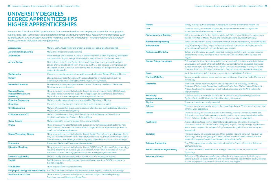### **UNIVERSITY DEGREES DEGREE APPRENTICESHIPS HIGHER APPRENTICESHIPS**

Here are the A level and BTEC qualifications that some universities and employers require for more popular subjects and jobs. Some courses and apprenticeships will require you to have relevant work experience such as architecture, law, journalism, teaching, medicine, dentistry, and nursing – check employer and university websites for their individual entry requirements.

| Accountancy                                                               | Maths is useful. GCSE Maths and English at grade 6 or above are often required.                                                                                                                                                                                                                           |
|---------------------------------------------------------------------------|-----------------------------------------------------------------------------------------------------------------------------------------------------------------------------------------------------------------------------------------------------------------------------------------------------------|
| <b>Aeronautical Engineering</b>                                           | Maths and Physics are usually required.                                                                                                                                                                                                                                                                   |
| <b>Architecture</b>                                                       | Art and Design and a science is useful. A portfolio of work is often required by universities<br>and businesses. Physics, Design Technology, or English are also considered useful.                                                                                                                       |
| <b>Art and Design</b>                                                     | Most entrants onto Art and Design degrees will have done a one-year art foundation<br>course after completing sixth form or college, but this is also possible to complete as part<br>of a degree course. A portfolio of work may also be required for a degree course or art-<br>related apprenticeship. |
| <b>Biochemistry</b>                                                       | Chemistry is usually essential, along with a second subject of Biology, Maths, or Physics.                                                                                                                                                                                                                |
| <b>Biology</b>                                                            | Biology is usually essential along with a second science or related subject such as<br>Chemistry, Computing, Geography, Maths, Physics, or Psychology.                                                                                                                                                    |
| <b>Biomedical Sciences</b>                                                | Biology is usually essential and for some courses, Chemistry may be too. Maths and<br>Physics may also be desirable.                                                                                                                                                                                      |
| <b>Business Studies</b><br><b>Business Management</b><br><b>Marketing</b> | There are usually no essential subjects, though some may require Maths GCSE at grade<br>4/5. Essay-based subjects may support your application, as can Maths and sometimes<br>Physics if you are considering finance/banking-related courses.                                                             |
| <b>Chemical Engineering</b>                                               | Maths is usually essential and some may also like Chemistry or Physics.                                                                                                                                                                                                                                   |
| Chemistry                                                                 | Chemistry is usually essential and some like a second science or Maths.                                                                                                                                                                                                                                   |
| <b>Civil Engineering</b>                                                  | Maths is often essential, plus a second science-related course such as Biology, Chemistry,<br>Physics, and sometimes Geography.                                                                                                                                                                           |
| <b>Computer Science/IT</b>                                                | Maths is often essential, along with Computing or IT depending on the course or<br>employer, and some like Physics or Further Maths.                                                                                                                                                                      |
| <b>Cyber Security</b>                                                     | Maths is desirable, including a grade 5/6 or above at GCSE.                                                                                                                                                                                                                                               |
| <b>Drama</b>                                                              | There are usually no essential subjects, but arts or humanities-based subjects may help.<br>Offers are often based on interview at drama college/university. Apprenticeships differ so<br>check out individual applications.                                                                              |
| <b>Design Technology/Design</b>                                           | There are usually no essential subjects, though Design Technology is an advantage. Some<br>may ask for achievement in an art-related subject such as Art, Design Technology, Graphic<br>Communication, Textile Design, and Photography, depending on the course or employer.                              |
| <b>Economics</b>                                                          | Economics, Maths, and Physics are often desirable.                                                                                                                                                                                                                                                        |
| <b>Education/Teaching</b>                                                 | There are usually no essential subjects, though GCSE Maths, English, and Science are often<br>required, depending on the level you want to teach. Check what is required for PGCE or<br>education courses. Teaching apprenticeships are usually post-graduate based.                                      |
| <b>Electrical Engineering</b>                                             | Maths is usually required along with a science such as Chemistry or Physics.                                                                                                                                                                                                                              |
| <b>English</b>                                                            | English Literature is usually required. Some universities look for a GCSE in a modern or<br>classical language.                                                                                                                                                                                           |
| <b>Film Studies</b>                                                       | There are usually no essential subjects.                                                                                                                                                                                                                                                                  |
|                                                                           | Geography, Geology and Earth Sciences You will often need to have at least two from: Maths, Physics, Chemistry, and Biology.                                                                                                                                                                              |
| <b>Health and Social Care</b>                                             | There are usually no essential subjects, but relevant subjects include Psychology,<br>Sociology, Law, and Health and Social Care.                                                                                                                                                                         |

| <b>History</b>                                | History is useful, but not essential. A background in other humanities is helpful too.                                                                                                                                                                                                                                                                                           |
|-----------------------------------------------|----------------------------------------------------------------------------------------------------------------------------------------------------------------------------------------------------------------------------------------------------------------------------------------------------------------------------------------------------------------------------------|
| Law                                           | There are usually no essential subjects, but essay-based ones such as English and<br>humanities-based subjects may be useful.                                                                                                                                                                                                                                                    |
| <b>Mathematics and Statistics</b>             | Maths is essential and Further Maths is useful, but if this is your third A level subject, you<br>may be restricted to Maths, Physics and some Engineering courses at university.                                                                                                                                                                                                |
| <b>Mechanical Engineering</b>                 | Maths and Physics are usually essential and Design and Technology may be an advantage.                                                                                                                                                                                                                                                                                           |
| <b>Media Studies</b>                          | Essay-based subjects may help. The social sciences or humanities are helpful but most<br>universities/employers will not specify particular subjects.                                                                                                                                                                                                                            |
| <b>Medicine and Dentistry</b>                 | Biology and Chemistry are usually essential. Medicine, dentistry, and veterinary science<br>applicants are usually required to have very good GCSE results in Maths, Science, and<br>English.                                                                                                                                                                                    |
| <b>Modern Foreign Languages</b>               | The language of your choice is desirable, but not essential. It is often advised not to take<br>all languages at A Level. Other subjects that could complement a languages degree are<br>humanities and arts-subjects such as English Literature or Language, History, or Politics.<br>However, there is no definitive list of subjects that can be studied alongside languages. |
| <b>Music</b>                                  | Music is usually essential, but some courses may accept a Grade 8 instead.                                                                                                                                                                                                                                                                                                       |
| <b>Nursing/Midwifery</b>                      | Some may ask for science-based subjects such as Biology, Chemistry, Maths, Physics, and<br>Psychology.                                                                                                                                                                                                                                                                           |
| <b>Paramedic</b>                              | Science or a social science subject is usually required such as Biology, Chemistry,<br>Design and Technology, Geography, Health and Social Care, Maths, Physical Education,<br>Physics, Psychology, or Sociology. Check individual courses and the NHS website for<br>apprenticeships.                                                                                           |
| <b>Philosophy</b><br><b>Religious Studies</b> | There are usually no essential subjects, but at least one essay-based subject such as<br>English, History, and Philosophy is an advantage in some cases.                                                                                                                                                                                                                         |
| <b>Physics</b>                                | Physics and Maths are usually essential.                                                                                                                                                                                                                                                                                                                                         |
| <b>Policing</b>                               | There are usually no essential subjects, but essay-based ones, PE, and social sciences may<br>enhance your application.                                                                                                                                                                                                                                                          |
| <b>Politics</b>                               | There are usually no essential subjects but Sociology, History, Economics, Maths, and<br>Philosophy may help. Politics departments also tend to favour essay-based subjects like<br>English, Religious Studies, or Psychology, and Science can be an advantage.                                                                                                                  |
| <b>Psychology</b>                             | A range of subjects are seen as essential including Biology, Chemistry, Computing,<br>Economics, Maths and Further Maths, Geography, Physics, and Psychology. A grade 6/7 in<br>Maths is often required for a degree in Psychology and a grade 6 in a science may also<br>be required.                                                                                           |
| <b>Sociology</b>                              | There are usually no essential subjects. Other subjects that will be useful, however, are<br>Psychology, History, Geography and Media Studies. Any humanities or social science<br>subject that requires analytical and research skills will be useful.                                                                                                                          |
| <b>Software Engineering</b>                   | Two STEM subjects are usually essential such as Maths, Physics, Chemistry, Biology, or<br><b>Computer Science.</b>                                                                                                                                                                                                                                                               |
| <b>Sports Science/PE/Physiotherapy</b>        | You will often need at least two from: Biology, Chemistry, Maths, PE, Physics, and<br>Psychology.                                                                                                                                                                                                                                                                                |
| <b>Veterinary Science</b>                     | Biology and Chemistry are usually essential and some may require a third science or<br>another subject. Medicine, dentistry, and veterinary science applicants are usually required<br>to have very good GCSE results in Maths, Science, and English.                                                                                                                            |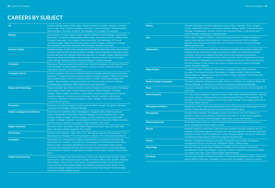## **CAREERS BY SUBJECT**

| Art                                    | Ceramics design maker, Model maker, Sample machinist, Jewellery designer, Furniture<br>restorer, Sign writer, Furniture designer, Illustrator, Costume designer, Fashion designer,<br>Textile designer, Animator, Architect, Photographer, Art therapist, Set designer.                                                                                                                                                                                                                           |
|----------------------------------------|---------------------------------------------------------------------------------------------------------------------------------------------------------------------------------------------------------------------------------------------------------------------------------------------------------------------------------------------------------------------------------------------------------------------------------------------------------------------------------------------------|
| <b>Biology</b>                         | Neuroscientist, Climate change analyst, Botanist, Biotechnologist, Biologist, Optometrist,<br>Pathologist, Chiropractor, Radiographer, Reflexologist, Biomedical scientist, Phlebotomist,<br>Ecologist, Audiologist, Tree surgeon, Dental technician, Dermatologist, GP, Critical<br>care technologist, Healthcare science assistant, Dentist, Surgeon, Orthoptist, Zoologist,<br>Microbiologist, Nutritionist, Dietician, Physiotherapist, Midwife, Osteopath.                                   |
| <b>Business Studies</b>                | Facilities manager, Supply chain manager, Business adviser, Franchise owner, Stock control<br>manager, Chief executive, Business project manager, Land and property valuer/auctioneer,<br>Business development manager, Marketing executive or manager, Digital marketing officer,<br>Retail buyer, Retail merchandiser, Sales manager, Quantity surveyor, Pay roll manager,<br>Credit manager, Business analyst, Pensions manager, Financial manager.                                            |
| <b>Chemistry</b>                       | Pharmacist, Pharmacy assistant or technician, Chemical engineer or technician, Chemist,<br>Pharmacologist, Nuclear engineer, Orthoptist, Clinical scientist, Dispensing optician,<br>Laboratory technician, Gas mains layer.                                                                                                                                                                                                                                                                      |
| <b>Computer Science</b>                | IT service engineer, IT security coordinator, Network manager, Network engineer, Software<br>developer, IT support technician, Systems analyst, IT project manager, IT director, Computer<br>systems administrator, Forensic computer analyst, IT trainer, E-learning developer, Web<br>designer, App developer, Computer programmer, Software quality assurance engineer,<br>Computer games developer, Office equipment service technician.                                                      |
| <b>Design and Technology</b>           | Product designer, Sign maker, Architect, Furniture designer, Furniture restorer, Packaging<br>technologist, Model maker, Fashion design assistant, Fashion designer, Footwear<br>designer, Pattern grader, Stonemason, Ergonomist, Design and development engineer,<br>Jewellery designer, Computer games developer, Sample machinist, Advertising<br>art director, Carpenter, Costume designer, Graphic designer, Tailor, Glass engraver,<br>Community arts worker.                              |
| <b>Economics</b>                       | Economist, Investment analyst, Financial adviser, Bank manager, Tax adviser, Banking<br>customer care manager, Financial manager.                                                                                                                                                                                                                                                                                                                                                                 |
| <b>English Language and Literature</b> | School teacher, Publishing editor, Newspaper or magazine editor, Editorial assistant,<br>Solicitor, Bookbinder, Police officer, Barrister, Paralegal, Human resources officer, Legal<br>secretary, Religious leader, Training manager, Further education lecturer, Road traffic<br>accident investigator, Librarian, Sound engineer, Online tutor, Bid writer, Medical secretary,<br>Sports journalist, Licensed conveyancer, Legal executive, Court usher.                                       |
| <b>English Literature</b>              | Bid writer, Author, Sub-editor, Copy editor, Magazine journalist, News journalist, Web<br>editor, Translator, Media researcher, Proof reader.                                                                                                                                                                                                                                                                                                                                                     |
| <b>Film Studies</b>                    | Director of photography, Video editor, TV or film camera operator, Photographer, TV or<br>film production manager, TV or film producer or director, TV or film sound technician.                                                                                                                                                                                                                                                                                                                  |
| Geography                              | Hydrologist, Soil conservationist, Water conservationist, Geoscientist, Geotechnician,<br>Environmental consultant, Town planner, Oceanographer, Environmental health officer,<br>Palaeontologist, Geological and Petroleum technician, Cartographer, Meteorologist,<br>Surveying and mapping technician, GIS technician, Rural surveyor, Countryside ranger,<br>Environmental economist, Sustainability consultant, Conservation scientist, Countryside<br>officer.                              |
| <b>Health and Social Care</b>          | Care home manager, Care home advocate, Foster carer, Mental health worker, mental<br>health nurse, Communication support worker, Probation officer, Care assistant, Palliative<br>care assistant, School nurse, Care worker, Occupational therapist, Acute care nurse,<br>Prison instructor, School psychologist, Art therapist, Drug and alcohol worker, Social<br>worker, Sociologist, Substance misuse outreach worker, Psychologist, Psychotherapist,<br>Psychiatrist, Family support worker. |

| <b>History</b>                  | Historian, Broadcast journalist, Diplomatic service officer, Translator, Tour manager,<br>Curator, Interpreter, Solicitor, Conservator, Barrister, Antique dealer, Crown prosecutor,<br>Paralegal, Archaeologist, Archivist, Civil service executive officer, Local government<br>officer, Member of parliament, Anthropologist.                                                                                                                                                                                                                                          |
|---------------------------------|---------------------------------------------------------------------------------------------------------------------------------------------------------------------------------------------------------------------------------------------------------------------------------------------------------------------------------------------------------------------------------------------------------------------------------------------------------------------------------------------------------------------------------------------------------------------------|
| Law                             | Police officer, Fingerprint officer, Crown prosecutor, Coroner, Criminal intelligence<br>analyst, Court reporter, Police detective, Licensed conveyancer, Family mediator,<br>Barrister, Court legal adviser, Diplomatic service officer, Human resources manager,<br>Bailiff, Legal secretary.                                                                                                                                                                                                                                                                           |
| <b>Mathematics</b>              | Mathematician, Insurance underwriter, Mechanical engineer, Data analyst-statistician,<br>Financial adviser, Nanotechnologist, Automotive engineer, Non-destructive testing<br>technician, Electronics engineer, Astronaut, Electronics engineering technician,<br>Investment analyst, Aerospace engineer, Naval architect, Marine engineering technician,<br>Marine engineer, Management accountant, Insurance risk surveyor, Structural engineer,<br>Electrical engineer, Public finance accountant, General practice surveyor, Mortgage<br>adviser, Materials engineer. |
| <b>Media Studies</b>            | TV presenter, Radio broadcaster, Web editor, Journalist, Copy editor, Broadcast<br>journalist, Printing administrator, Newspaper or magazine editor, Editorial assistant,<br>Media researcher, Magazine journalist, Sub editor, Image consultant, Publishing editor,<br>Photographer, Graphic designer.                                                                                                                                                                                                                                                                   |
| <b>Modern Foreign Languages</b> | Translator, Interpreter, Broadcast journalist, Teacher, Consultant, or working in Media, PR,<br>Finance, Banking, or Tourism for a charity or a business trading internationally.                                                                                                                                                                                                                                                                                                                                                                                         |
| <b>Music</b>                    | Acoustics consultant, Actor, Musician, Music therapist, Music director, Sound engineer or<br>technician.                                                                                                                                                                                                                                                                                                                                                                                                                                                                  |
| <b>Performing Arts</b>          | TV or film camera operator, Classical musician, Video editor, Wardrobe assistant, Lighting<br>technician, Director of photography, Costume designer, Producer, Choreographer, Set<br>designer, Actor, Drama therapist, Screenwriter, Stage manager, Prop maker, Audio/Visual<br>technician, Make-up artist.                                                                                                                                                                                                                                                               |
| <b>Philosophy and Ethics</b>    | Broadcast journalist, Community development officer, Charity director, Family support worker,<br>Solicitor, Further education lecturer, Civil service administrative officer.                                                                                                                                                                                                                                                                                                                                                                                             |
| Photography                     | Art editor, Reprographer, Photographic stylist or technician, TV or Film director or<br>producer, Audio visual technician, Cinema projectionist, TV or film camera operator,<br>Photographer, Director of photography, Video editor, Visual merchandiser.                                                                                                                                                                                                                                                                                                                 |
| <b>Physical Education</b>       | PE teacher, Fitness instructor, Personal trainer, Sports physiotherapist, Sports coach,<br>Sports development officer, Sports scientist.                                                                                                                                                                                                                                                                                                                                                                                                                                  |
| <b>Physics</b>                  | Materials engineer or technician, Heat treatment operator, Domestic appliance service<br>engineer, Automotive engineer, Helicopter pilot, Nuclear engineer or technician, Electricity<br>generation worker, Electricity distribution worker, Energy engineer, Gas service technician,<br>Commercial energy assessor, Electronics engineering technician.                                                                                                                                                                                                                  |
| <b>Politics</b>                 | Member of parliament, Broadcast journalist, Diplomatic service officer, Emergency<br>management director, Civil service, Immigration officer, Charity worker.                                                                                                                                                                                                                                                                                                                                                                                                             |
| <b>Psychology</b>               | Barrister, Forensic psychologist, Arbitrator, mediator, and conciliator, Community<br>development worker, Psychologist, Consumer scientist, Cognitive behavioural therapist,<br>Counsellor, Life coach, School psychologist, Hypnotherapist.                                                                                                                                                                                                                                                                                                                              |
| <b>Sociology</b>                | Forensic psychologist, Broadcast journalist, Community development officer, Diplomatic<br>service officer, Interpreter, Counsellor, Social worker, Sociologist, Consumer scientist.                                                                                                                                                                                                                                                                                                                                                                                       |
|                                 |                                                                                                                                                                                                                                                                                                                                                                                                                                                                                                                                                                           |